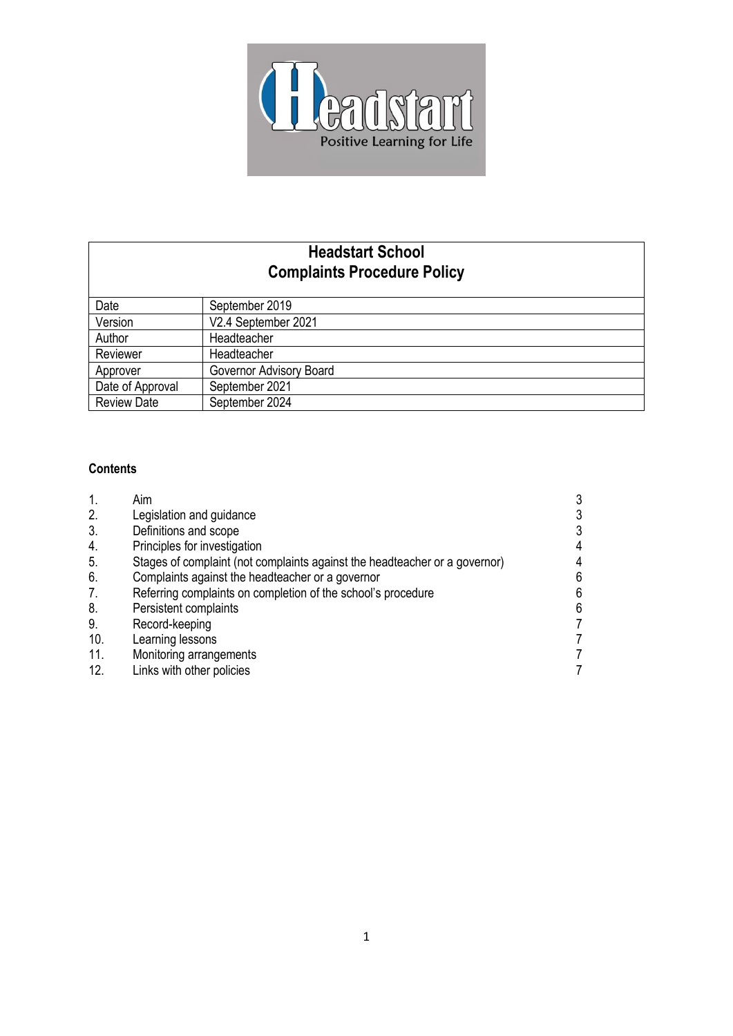

# **Headstart School Complaints Procedure Policy**

| Date               | September 2019          |
|--------------------|-------------------------|
| Version            | V2.4 September 2021     |
| Author             | Headteacher             |
| Reviewer           | Headteacher             |
| Approver           | Governor Advisory Board |
| Date of Approval   | September 2021          |
| <b>Review Date</b> | September 2024          |

## **Contents**

|     | Aim                                                                        |   |
|-----|----------------------------------------------------------------------------|---|
| 2.  | Legislation and guidance                                                   |   |
| 3.  | Definitions and scope                                                      |   |
| 4.  | Principles for investigation                                               | 4 |
| 5.  | Stages of complaint (not complaints against the headteacher or a governor) | 4 |
| 6.  | Complaints against the headteacher or a governor                           | 6 |
| 7.  | Referring complaints on completion of the school's procedure               | 6 |
| 8.  | Persistent complaints                                                      | 6 |
| 9.  | Record-keeping                                                             |   |
| 10. | Learning lessons                                                           |   |
| 11. | Monitoring arrangements                                                    |   |
| 12. | Links with other policies                                                  |   |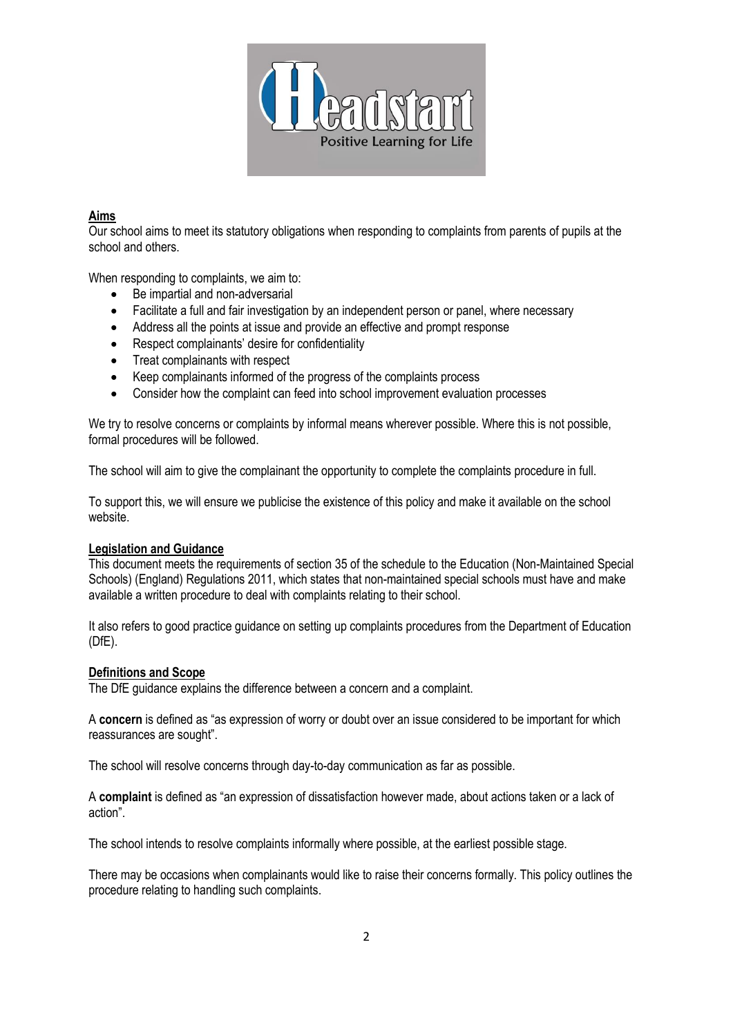

## **Aims**

Our school aims to meet its statutory obligations when responding to complaints from parents of pupils at the school and others.

When responding to complaints, we aim to:

- Be impartial and non-adversarial
- Facilitate a full and fair investigation by an independent person or panel, where necessary
- Address all the points at issue and provide an effective and prompt response
- Respect complainants' desire for confidentiality
- Treat complainants with respect
- Keep complainants informed of the progress of the complaints process
- Consider how the complaint can feed into school improvement evaluation processes

We try to resolve concerns or complaints by informal means wherever possible. Where this is not possible, formal procedures will be followed.

The school will aim to give the complainant the opportunity to complete the complaints procedure in full.

To support this, we will ensure we publicise the existence of this policy and make it available on the school website.

## **Legislation and Guidance**

This document meets the requirements of section 35 of the schedule to the Education (Non-Maintained Special Schools) (England) Regulations 2011, which states that non-maintained special schools must have and make available a written procedure to deal with complaints relating to their school.

It also refers to good practice guidance on setting up complaints procedures from the Department of Education (DfE).

## **Definitions and Scope**

The DfE guidance explains the difference between a concern and a complaint.

A **concern** is defined as "as expression of worry or doubt over an issue considered to be important for which reassurances are sought".

The school will resolve concerns through day-to-day communication as far as possible.

A **complaint** is defined as "an expression of dissatisfaction however made, about actions taken or a lack of action".

The school intends to resolve complaints informally where possible, at the earliest possible stage.

There may be occasions when complainants would like to raise their concerns formally. This policy outlines the procedure relating to handling such complaints.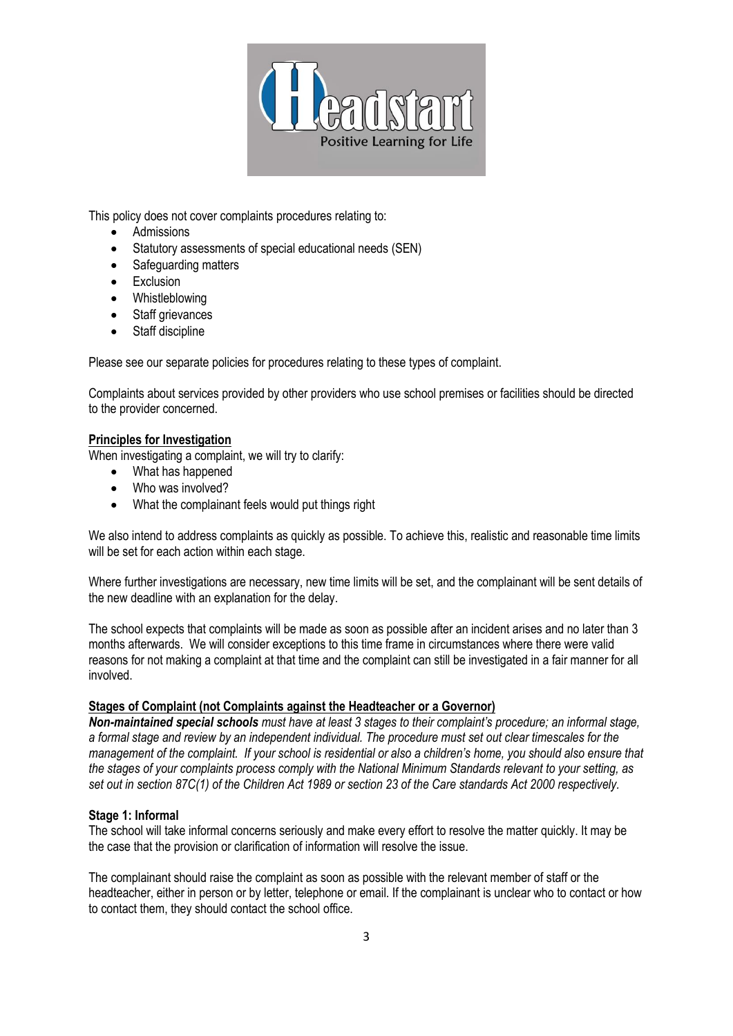

This policy does not cover complaints procedures relating to:

- Admissions
- Statutory assessments of special educational needs (SEN)
- Safeguarding matters
- Exclusion
- Whistleblowing
- Staff grievances
- Staff discipline

Please see our separate policies for procedures relating to these types of complaint.

Complaints about services provided by other providers who use school premises or facilities should be directed to the provider concerned.

## **Principles for Investigation**

When investigating a complaint, we will try to clarify:

- What has happened
- Who was involved?
- What the complainant feels would put things right

We also intend to address complaints as quickly as possible. To achieve this, realistic and reasonable time limits will be set for each action within each stage.

Where further investigations are necessary, new time limits will be set, and the complainant will be sent details of the new deadline with an explanation for the delay.

The school expects that complaints will be made as soon as possible after an incident arises and no later than 3 months afterwards. We will consider exceptions to this time frame in circumstances where there were valid reasons for not making a complaint at that time and the complaint can still be investigated in a fair manner for all involved.

## **Stages of Complaint (not Complaints against the Headteacher or a Governor)**

*Non-maintained special schools must have at least 3 stages to their complaint's procedure; an informal stage, a formal stage and review by an independent individual. The procedure must set out clear timescales for the management of the complaint. If your school is residential or also a children's home, you should also ensure that the stages of your complaints process comply with the National Minimum Standards relevant to your setting, as set out in section 87C(1) of the Children Act 1989 or section 23 of the Care standards Act 2000 respectively.* 

## **Stage 1: Informal**

The school will take informal concerns seriously and make every effort to resolve the matter quickly. It may be the case that the provision or clarification of information will resolve the issue.

The complainant should raise the complaint as soon as possible with the relevant member of staff or the headteacher, either in person or by letter, telephone or email. If the complainant is unclear who to contact or how to contact them, they should contact the school office.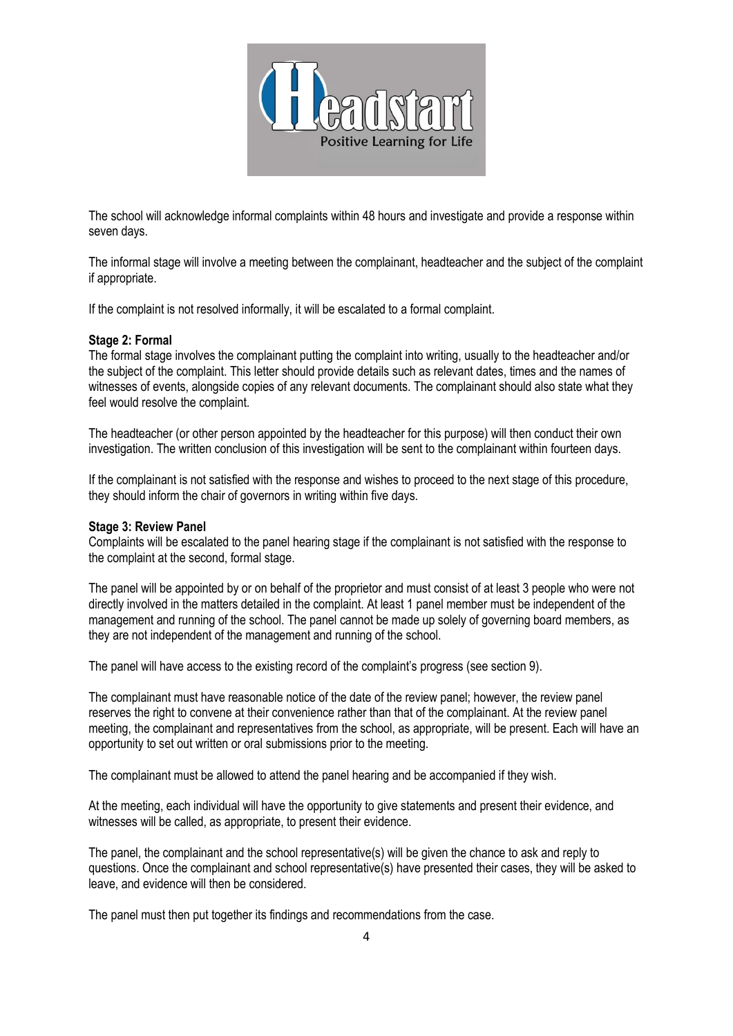

The school will acknowledge informal complaints within 48 hours and investigate and provide a response within seven days.

The informal stage will involve a meeting between the complainant, headteacher and the subject of the complaint if appropriate.

If the complaint is not resolved informally, it will be escalated to a formal complaint.

#### **Stage 2: Formal**

The formal stage involves the complainant putting the complaint into writing, usually to the headteacher and/or the subject of the complaint. This letter should provide details such as relevant dates, times and the names of witnesses of events, alongside copies of any relevant documents. The complainant should also state what they feel would resolve the complaint.

The headteacher (or other person appointed by the headteacher for this purpose) will then conduct their own investigation. The written conclusion of this investigation will be sent to the complainant within fourteen days.

If the complainant is not satisfied with the response and wishes to proceed to the next stage of this procedure, they should inform the chair of governors in writing within five days.

#### **Stage 3: Review Panel**

Complaints will be escalated to the panel hearing stage if the complainant is not satisfied with the response to the complaint at the second, formal stage.

The panel will be appointed by or on behalf of the proprietor and must consist of at least 3 people who were not directly involved in the matters detailed in the complaint. At least 1 panel member must be independent of the management and running of the school. The panel cannot be made up solely of governing board members, as they are not independent of the management and running of the school.

The panel will have access to the existing record of the complaint's progress (see section 9).

The complainant must have reasonable notice of the date of the review panel; however, the review panel reserves the right to convene at their convenience rather than that of the complainant. At the review panel meeting, the complainant and representatives from the school, as appropriate, will be present. Each will have an opportunity to set out written or oral submissions prior to the meeting.

The complainant must be allowed to attend the panel hearing and be accompanied if they wish.

At the meeting, each individual will have the opportunity to give statements and present their evidence, and witnesses will be called, as appropriate, to present their evidence.

The panel, the complainant and the school representative(s) will be given the chance to ask and reply to questions. Once the complainant and school representative(s) have presented their cases, they will be asked to leave, and evidence will then be considered.

The panel must then put together its findings and recommendations from the case.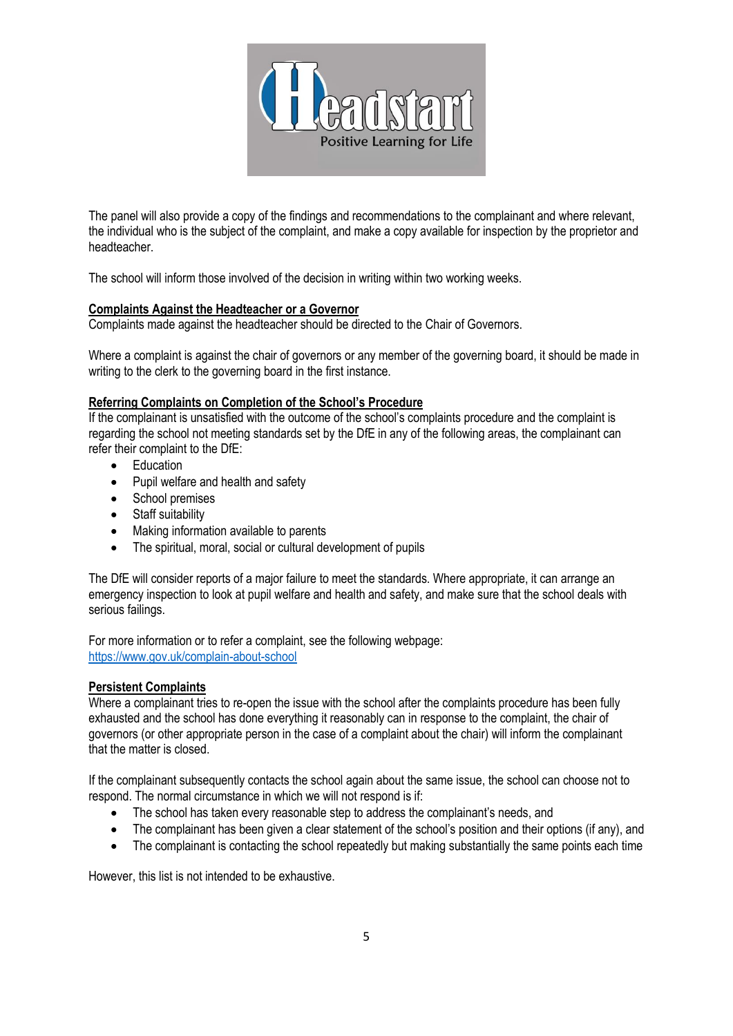

The panel will also provide a copy of the findings and recommendations to the complainant and where relevant, the individual who is the subject of the complaint, and make a copy available for inspection by the proprietor and headteacher.

The school will inform those involved of the decision in writing within two working weeks.

## **Complaints Against the Headteacher or a Governor**

Complaints made against the headteacher should be directed to the Chair of Governors.

Where a complaint is against the chair of governors or any member of the governing board, it should be made in writing to the clerk to the governing board in the first instance.

## **Referring Complaints on Completion of the School's Procedure**

If the complainant is unsatisfied with the outcome of the school's complaints procedure and the complaint is regarding the school not meeting standards set by the DfE in any of the following areas, the complainant can refer their complaint to the DfE:

- Education
- Pupil welfare and health and safety
- School premises
- Staff suitability
- Making information available to parents
- The spiritual, moral, social or cultural development of pupils

The DfE will consider reports of a major failure to meet the standards. Where appropriate, it can arrange an emergency inspection to look at pupil welfare and health and safety, and make sure that the school deals with serious failings.

For more information or to refer a complaint, see the following webpage: <https://www.gov.uk/complain-about-school>

## **Persistent Complaints**

Where a complainant tries to re-open the issue with the school after the complaints procedure has been fully exhausted and the school has done everything it reasonably can in response to the complaint, the chair of governors (or other appropriate person in the case of a complaint about the chair) will inform the complainant that the matter is closed.

If the complainant subsequently contacts the school again about the same issue, the school can choose not to respond. The normal circumstance in which we will not respond is if:

- The school has taken every reasonable step to address the complainant's needs, and
- The complainant has been given a clear statement of the school's position and their options (if any), and
- The complainant is contacting the school repeatedly but making substantially the same points each time

However, this list is not intended to be exhaustive.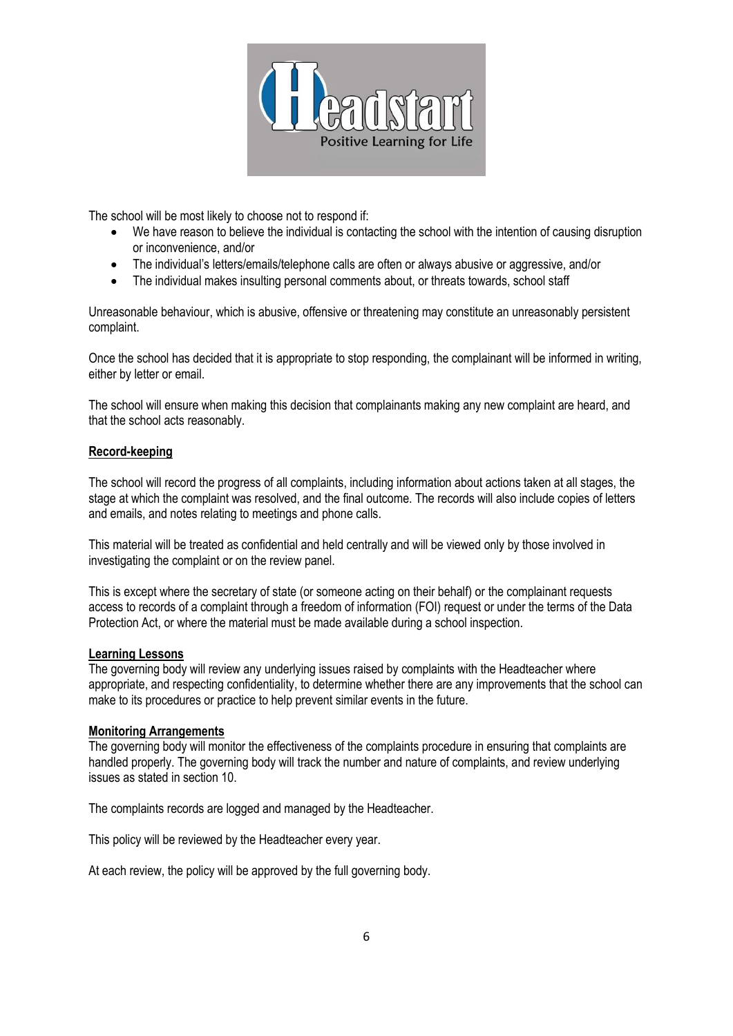

The school will be most likely to choose not to respond if:

- We have reason to believe the individual is contacting the school with the intention of causing disruption or inconvenience, and/or
- The individual's letters/emails/telephone calls are often or always abusive or aggressive, and/or
- The individual makes insulting personal comments about, or threats towards, school staff

Unreasonable behaviour, which is abusive, offensive or threatening may constitute an unreasonably persistent complaint.

Once the school has decided that it is appropriate to stop responding, the complainant will be informed in writing, either by letter or email.

The school will ensure when making this decision that complainants making any new complaint are heard, and that the school acts reasonably.

## **Record-keeping**

The school will record the progress of all complaints, including information about actions taken at all stages, the stage at which the complaint was resolved, and the final outcome. The records will also include copies of letters and emails, and notes relating to meetings and phone calls.

This material will be treated as confidential and held centrally and will be viewed only by those involved in investigating the complaint or on the review panel.

This is except where the secretary of state (or someone acting on their behalf) or the complainant requests access to records of a complaint through a freedom of information (FOI) request or under the terms of the Data Protection Act, or where the material must be made available during a school inspection.

## **Learning Lessons**

The governing body will review any underlying issues raised by complaints with the Headteacher where appropriate, and respecting confidentiality, to determine whether there are any improvements that the school can make to its procedures or practice to help prevent similar events in the future.

## **Monitoring Arrangements**

The governing body will monitor the effectiveness of the complaints procedure in ensuring that complaints are handled properly. The governing body will track the number and nature of complaints, and review underlying issues as stated in section 10.

The complaints records are logged and managed by the Headteacher.

This policy will be reviewed by the Headteacher every year.

At each review, the policy will be approved by the full governing body.